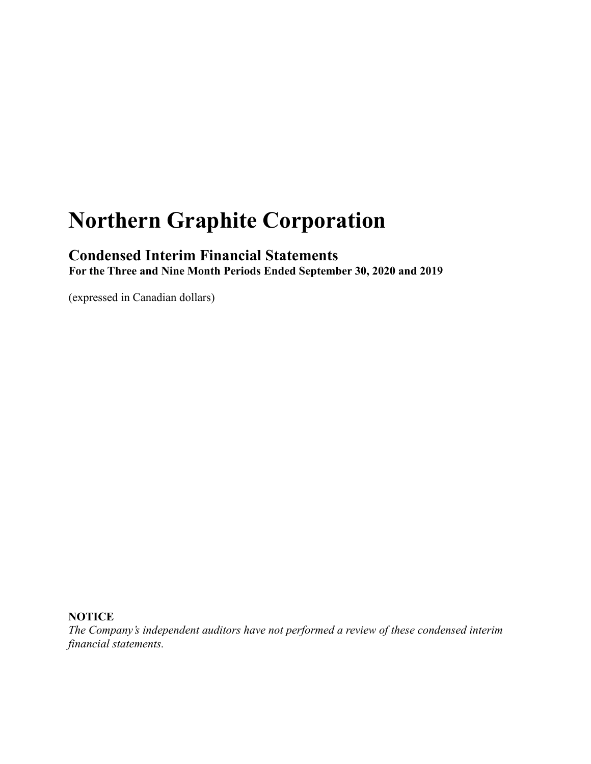# **Northern Graphite Corporation**

### **Condensed Interim Financial Statements**

**For the Three and Nine Month Periods Ended September 30, 2020 and 2019**

(expressed in Canadian dollars)

### **NOTICE**

*The Company's independent auditors have not performed a review of these condensed interim financial statements.*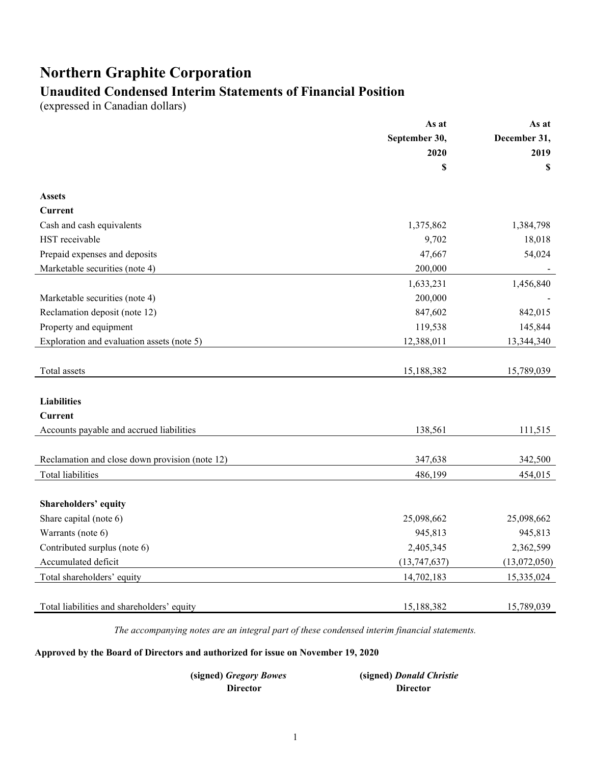# **Northern Graphite Corporation**

# **Unaudited Condensed Interim Statements of Financial Position**

(expressed in Canadian dollars)

|                                                | As at          | As at        |
|------------------------------------------------|----------------|--------------|
|                                                | September 30,  | December 31, |
|                                                | 2020           | 2019         |
|                                                | \$             | \$           |
| <b>Assets</b>                                  |                |              |
| Current                                        |                |              |
| Cash and cash equivalents                      | 1,375,862      | 1,384,798    |
| HST receivable                                 | 9,702          | 18,018       |
| Prepaid expenses and deposits                  | 47,667         | 54,024       |
| Marketable securities (note 4)                 | 200,000        |              |
|                                                | 1,633,231      | 1,456,840    |
| Marketable securities (note 4)                 | 200,000        |              |
| Reclamation deposit (note 12)                  | 847,602        | 842,015      |
| Property and equipment                         | 119,538        | 145,844      |
| Exploration and evaluation assets (note 5)     | 12,388,011     | 13,344,340   |
|                                                |                |              |
| Total assets                                   | 15,188,382     | 15,789,039   |
|                                                |                |              |
| <b>Liabilities</b>                             |                |              |
| <b>Current</b>                                 |                |              |
| Accounts payable and accrued liabilities       | 138,561        | 111,515      |
|                                                |                |              |
| Reclamation and close down provision (note 12) | 347,638        | 342,500      |
| <b>Total liabilities</b>                       | 486,199        | 454,015      |
|                                                |                |              |
| Shareholders' equity                           |                |              |
| Share capital (note 6)                         | 25,098,662     | 25,098,662   |
| Warrants (note 6)                              | 945,813        | 945,813      |
| Contributed surplus (note 6)                   | 2,405,345      | 2,362,599    |
| Accumulated deficit                            | (13, 747, 637) | (13,072,050) |
| Total shareholders' equity                     | 14,702,183     | 15,335,024   |
|                                                |                |              |
| Total liabilities and shareholders' equity     | 15,188,382     | 15,789,039   |
|                                                |                |              |

*The accompanying notes are an integral part of these condensed interim financial statements.*

**Approved by the Board of Directors and authorized for issue on November 19, 2020**

| (signed) Gregory Bowes | (signed) Donald Christie |
|------------------------|--------------------------|
| Director               | <b>Director</b>          |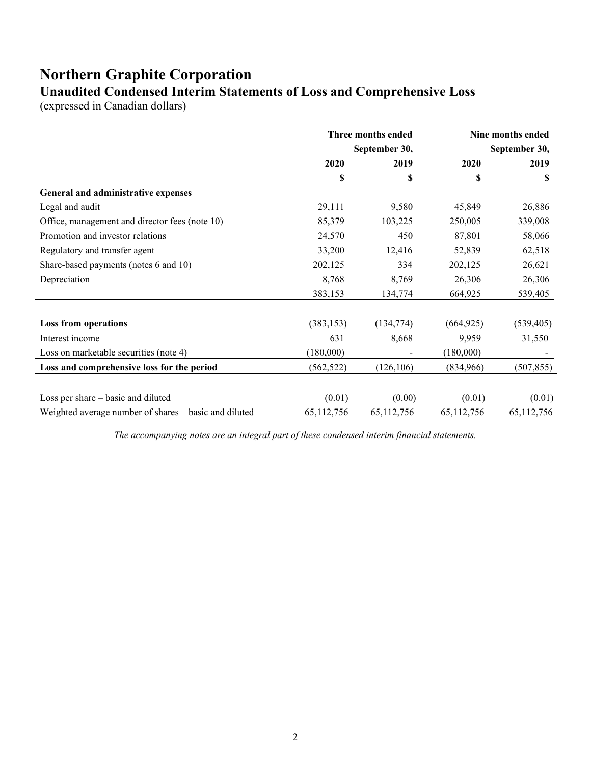### **Northern Graphite Corporation Unaudited Condensed Interim Statements of Loss and Comprehensive Loss**

(expressed in Canadian dollars)

|                                                       |               | Three months ended |            | Nine months ended |
|-------------------------------------------------------|---------------|--------------------|------------|-------------------|
|                                                       | September 30, |                    |            | September 30,     |
|                                                       | 2020          | 2019               | 2020       | 2019              |
|                                                       | \$            | \$                 | \$         | \$                |
| General and administrative expenses                   |               |                    |            |                   |
| Legal and audit                                       | 29,111        | 9,580              | 45,849     | 26,886            |
| Office, management and director fees (note 10)        | 85,379        | 103,225            | 250,005    | 339,008           |
| Promotion and investor relations                      | 24,570        | 450                | 87,801     | 58,066            |
| Regulatory and transfer agent                         | 33,200        | 12,416             | 52,839     | 62,518            |
| Share-based payments (notes 6 and 10)                 | 202,125       | 334                | 202,125    | 26,621            |
| Depreciation                                          | 8,768         | 8,769              | 26,306     | 26,306            |
|                                                       | 383,153       | 134,774            | 664,925    | 539,405           |
| <b>Loss from operations</b>                           | (383, 153)    | (134, 774)         | (664, 925) | (539, 405)        |
| Interest income                                       | 631           | 8,668              | 9,959      | 31,550            |
| Loss on marketable securities (note 4)                | (180,000)     |                    | (180,000)  |                   |
| Loss and comprehensive loss for the period            | (562, 522)    | (126, 106)         | (834,966)  | (507, 855)        |
| Loss per share - basic and diluted                    | (0.01)        | (0.00)             | (0.01)     | (0.01)            |
| Weighted average number of shares – basic and diluted | 65,112,756    | 65, 112, 756       | 65,112,756 | 65, 112, 756      |

*The accompanying notes are an integral part of these condensed interim financial statements.*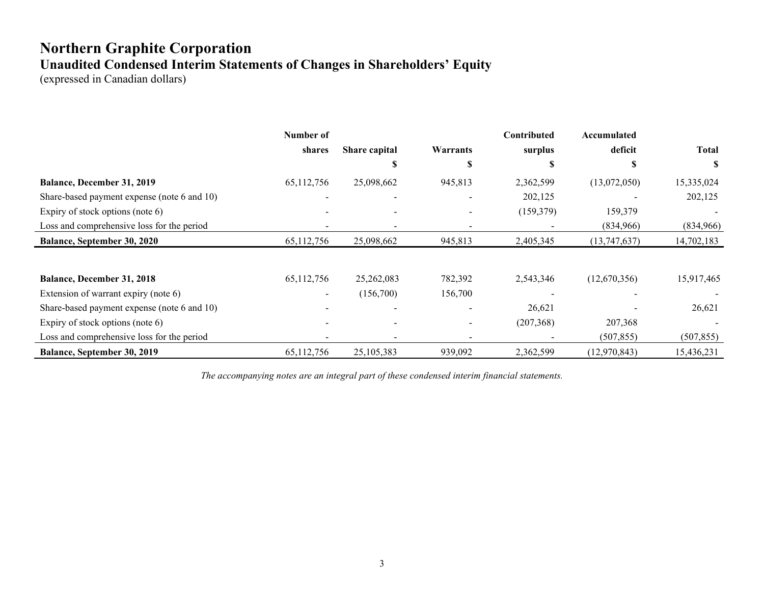# **Northern Graphite Corporation Unaudited Condensed Interim Statements of Changes in Shareholders' Equity**

(expressed in Canadian dollars)

|                                             | Number of    |               |                          | Contributed | Accumulated  |              |
|---------------------------------------------|--------------|---------------|--------------------------|-------------|--------------|--------------|
|                                             | shares       | Share capital | Warrants                 | surplus     | deficit      | <b>Total</b> |
|                                             |              | S             | J.                       | J.          |              |              |
| <b>Balance, December 31, 2019</b>           | 65,112,756   | 25,098,662    | 945,813                  | 2,362,599   | (13,072,050) | 15,335,024   |
| Share-based payment expense (note 6 and 10) |              |               |                          | 202,125     |              | 202,125      |
| Expiry of stock options (note $6$ )         |              |               |                          | (159, 379)  | 159,379      |              |
| Loss and comprehensive loss for the period  |              |               |                          |             | (834,966)    | (834,966)    |
| <b>Balance, September 30, 2020</b>          | 65,112,756   | 25,098,662    | 945,813                  | 2,405,345   | (13,747,637) | 14,702,183   |
|                                             |              |               |                          |             |              |              |
| Balance, December 31, 2018                  | 65,112,756   | 25,262,083    | 782,392                  | 2,543,346   | (12,670,356) | 15,917,465   |
| Extension of warrant expiry (note 6)        |              | (156,700)     | 156,700                  |             |              |              |
| Share-based payment expense (note 6 and 10) |              |               |                          | 26,621      |              | 26,621       |
| Expiry of stock options (note 6)            |              |               |                          | (207, 368)  | 207,368      |              |
| Loss and comprehensive loss for the period  |              |               | $\overline{\phantom{0}}$ |             | (507, 855)   | (507, 855)   |
| Balance, September 30, 2019                 | 65, 112, 756 | 25, 105, 383  | 939,092                  | 2,362,599   | (12,970,843) | 15,436,231   |

*The accompanying notes are an integral part of these condensed interim financial statements.*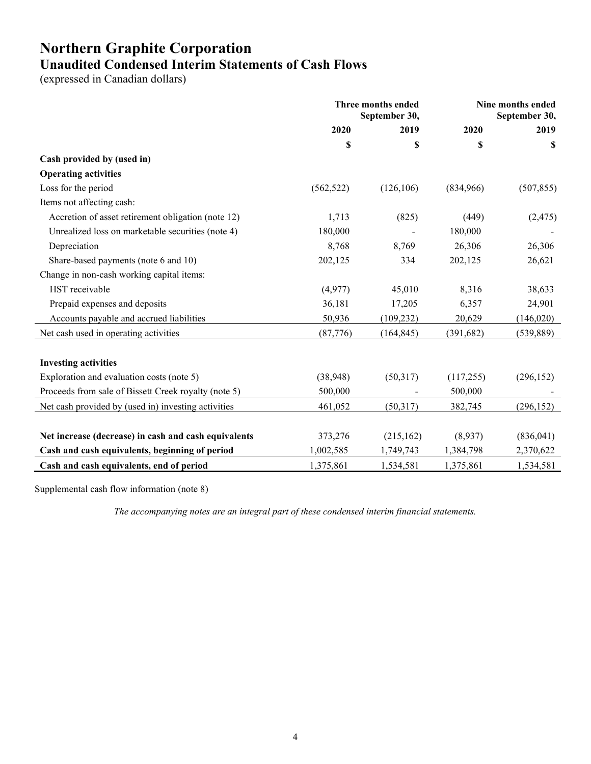# **Northern Graphite Corporation Unaudited Condensed Interim Statements of Cash Flows**

(expressed in Canadian dollars)

|                                                      | Three months ended<br>September 30, |            | Nine months ended<br>September 30, |            |
|------------------------------------------------------|-------------------------------------|------------|------------------------------------|------------|
|                                                      | 2020                                | 2019       | 2020                               | 2019       |
|                                                      | \$                                  | \$         | \$                                 | S          |
| Cash provided by (used in)                           |                                     |            |                                    |            |
| <b>Operating activities</b>                          |                                     |            |                                    |            |
| Loss for the period                                  | (562, 522)                          | (126, 106) | (834,966)                          | (507, 855) |
| Items not affecting cash:                            |                                     |            |                                    |            |
| Accretion of asset retirement obligation (note 12)   | 1,713                               | (825)      | (449)                              | (2, 475)   |
| Unrealized loss on marketable securities (note 4)    | 180,000                             |            | 180,000                            |            |
| Depreciation                                         | 8,768                               | 8,769      | 26,306                             | 26,306     |
| Share-based payments (note 6 and 10)                 | 202,125                             | 334        | 202,125                            | 26,621     |
| Change in non-cash working capital items:            |                                     |            |                                    |            |
| HST receivable                                       | (4,977)                             | 45,010     | 8,316                              | 38,633     |
| Prepaid expenses and deposits                        | 36,181                              | 17,205     | 6,357                              | 24,901     |
| Accounts payable and accrued liabilities             | 50,936                              | (109, 232) | 20,629                             | (146,020)  |
| Net cash used in operating activities                | (87, 776)                           | (164, 845) | (391, 682)                         | (539, 889) |
| <b>Investing activities</b>                          |                                     |            |                                    |            |
| Exploration and evaluation costs (note 5)            | (38,948)                            | (50,317)   | (117, 255)                         | (296, 152) |
| Proceeds from sale of Bissett Creek royalty (note 5) | 500,000                             |            | 500,000                            |            |
| Net cash provided by (used in) investing activities  | 461,052                             | (50,317)   | 382,745                            | (296, 152) |
|                                                      |                                     |            |                                    |            |
| Net increase (decrease) in cash and cash equivalents | 373,276                             | (215, 162) | (8,937)                            | (836,041)  |
| Cash and cash equivalents, beginning of period       | 1,002,585                           | 1,749,743  | 1,384,798                          | 2,370,622  |
| Cash and cash equivalents, end of period             | 1,375,861                           | 1,534,581  | 1,375,861                          | 1,534,581  |

Supplemental cash flow information (note 8)

*The accompanying notes are an integral part of these condensed interim financial statements.*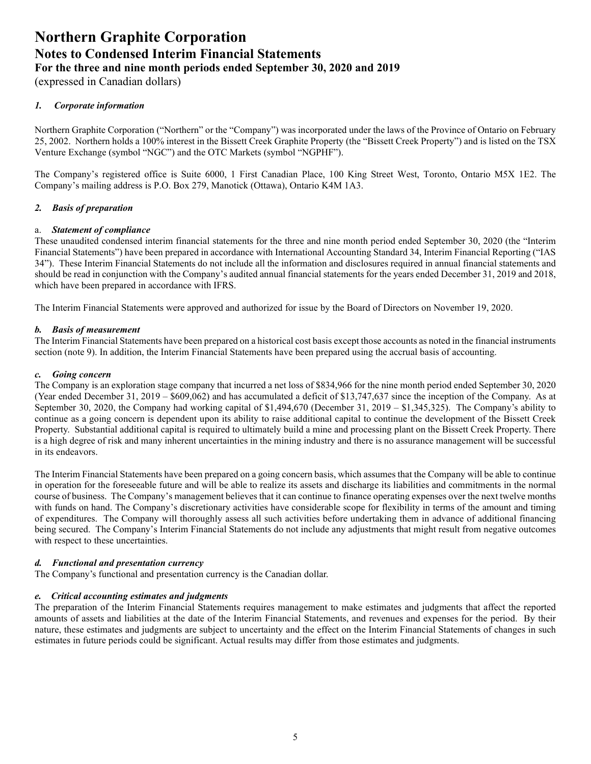(expressed in Canadian dollars)

#### *1. Corporate information*

Northern Graphite Corporation ("Northern" or the "Company") was incorporated under the laws of the Province of Ontario on February 25, 2002. Northern holds a 100% interest in the Bissett Creek Graphite Property (the "Bissett Creek Property") and is listed on the TSX Venture Exchange (symbol "NGC") and the OTC Markets (symbol "NGPHF").

The Company's registered office is Suite 6000, 1 First Canadian Place, 100 King Street West, Toronto, Ontario M5X 1E2. The Company's mailing address is P.O. Box 279, Manotick (Ottawa), Ontario K4M 1A3.

#### *2. Basis of preparation*

#### a. *Statement of compliance*

These unaudited condensed interim financial statements for the three and nine month period ended September 30, 2020 (the "Interim Financial Statements") have been prepared in accordance with International Accounting Standard 34, Interim Financial Reporting ("IAS 34"). These Interim Financial Statements do not include all the information and disclosures required in annual financial statements and should be read in conjunction with the Company's audited annual financial statements for the years ended December 31, 2019 and 2018, which have been prepared in accordance with IFRS.

The Interim Financial Statements were approved and authorized for issue by the Board of Directors on November 19, 2020.

#### *b. Basis of measurement*

The Interim Financial Statements have been prepared on a historical cost basis except those accounts as noted in the financial instruments section (note 9). In addition, the Interim Financial Statements have been prepared using the accrual basis of accounting.

#### *c. Going concern*

The Company is an exploration stage company that incurred a net loss of \$834,966 for the nine month period ended September 30, 2020 (Year ended December 31, 2019 – \$609,062) and has accumulated a deficit of \$13,747,637 since the inception of the Company. As at September 30, 2020, the Company had working capital of \$1,494,670 (December 31, 2019 – \$1,345,325). The Company's ability to continue as a going concern is dependent upon its ability to raise additional capital to continue the development of the Bissett Creek Property. Substantial additional capital is required to ultimately build a mine and processing plant on the Bissett Creek Property. There is a high degree of risk and many inherent uncertainties in the mining industry and there is no assurance management will be successful in its endeavors.

The Interim Financial Statements have been prepared on a going concern basis, which assumes that the Company will be able to continue in operation for the foreseeable future and will be able to realize its assets and discharge its liabilities and commitments in the normal course of business. The Company's management believes that it can continue to finance operating expenses over the next twelve months with funds on hand. The Company's discretionary activities have considerable scope for flexibility in terms of the amount and timing of expenditures. The Company will thoroughly assess all such activities before undertaking them in advance of additional financing being secured. The Company's Interim Financial Statements do not include any adjustments that might result from negative outcomes with respect to these uncertainties.

#### *d. Functional and presentation currency*

The Company's functional and presentation currency is the Canadian dollar.

#### *e. Critical accounting estimates and judgments*

The preparation of the Interim Financial Statements requires management to make estimates and judgments that affect the reported amounts of assets and liabilities at the date of the Interim Financial Statements, and revenues and expenses for the period. By their nature, these estimates and judgments are subject to uncertainty and the effect on the Interim Financial Statements of changes in such estimates in future periods could be significant. Actual results may differ from those estimates and judgments.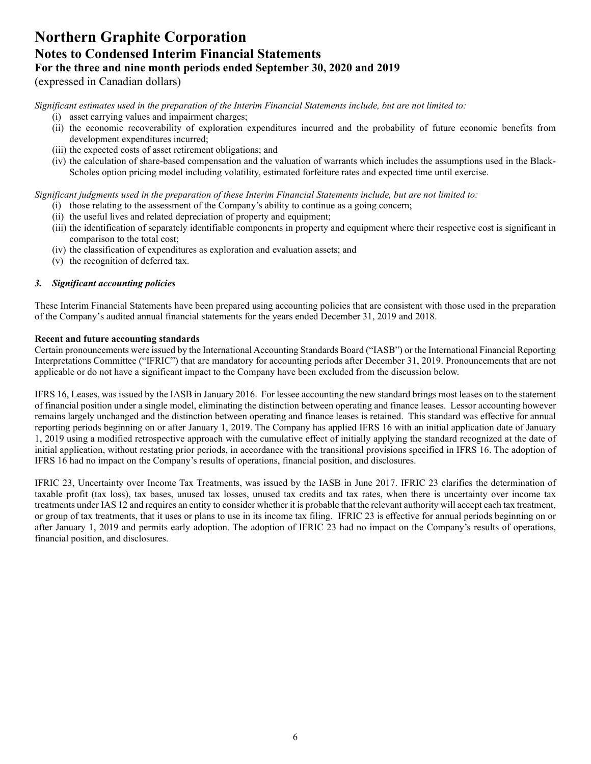### **Northern Graphite Corporation Notes to Condensed Interim Financial Statements For the three and nine month periods ended September 30, 2020 and 2019** (expressed in Canadian dollars)

*Significant estimates used in the preparation of the Interim Financial Statements include, but are not limited to:* 

- (i) asset carrying values and impairment charges;
- (ii) the economic recoverability of exploration expenditures incurred and the probability of future economic benefits from development expenditures incurred;
- (iii) the expected costs of asset retirement obligations; and
- (iv) the calculation of share-based compensation and the valuation of warrants which includes the assumptions used in the Black-Scholes option pricing model including volatility, estimated forfeiture rates and expected time until exercise.

*Significant judgments used in the preparation of these Interim Financial Statements include, but are not limited to:* 

- (i) those relating to the assessment of the Company's ability to continue as a going concern;
- (ii) the useful lives and related depreciation of property and equipment;
- (iii) the identification of separately identifiable components in property and equipment where their respective cost is significant in comparison to the total cost;
- (iv) the classification of expenditures as exploration and evaluation assets; and
- (v) the recognition of deferred tax.

#### *3. Significant accounting policies*

These Interim Financial Statements have been prepared using accounting policies that are consistent with those used in the preparation of the Company's audited annual financial statements for the years ended December 31, 2019 and 2018.

#### **Recent and future accounting standards**

Certain pronouncements were issued by the International Accounting Standards Board ("IASB") or the International Financial Reporting Interpretations Committee ("IFRIC") that are mandatory for accounting periods after December 31, 2019. Pronouncements that are not applicable or do not have a significant impact to the Company have been excluded from the discussion below.

IFRS 16, Leases, was issued by the IASB in January 2016. For lessee accounting the new standard brings most leases on to the statement of financial position under a single model, eliminating the distinction between operating and finance leases. Lessor accounting however remains largely unchanged and the distinction between operating and finance leases is retained. This standard was effective for annual reporting periods beginning on or after January 1, 2019. The Company has applied IFRS 16 with an initial application date of January 1, 2019 using a modified retrospective approach with the cumulative effect of initially applying the standard recognized at the date of initial application, without restating prior periods, in accordance with the transitional provisions specified in IFRS 16. The adoption of IFRS 16 had no impact on the Company's results of operations, financial position, and disclosures.

IFRIC 23, Uncertainty over Income Tax Treatments, was issued by the IASB in June 2017. IFRIC 23 clarifies the determination of taxable profit (tax loss), tax bases, unused tax losses, unused tax credits and tax rates, when there is uncertainty over income tax treatments under IAS 12 and requires an entity to consider whether it is probable that the relevant authority will accept each tax treatment, or group of tax treatments, that it uses or plans to use in its income tax filing. IFRIC 23 is effective for annual periods beginning on or after January 1, 2019 and permits early adoption. The adoption of IFRIC 23 had no impact on the Company's results of operations, financial position, and disclosures.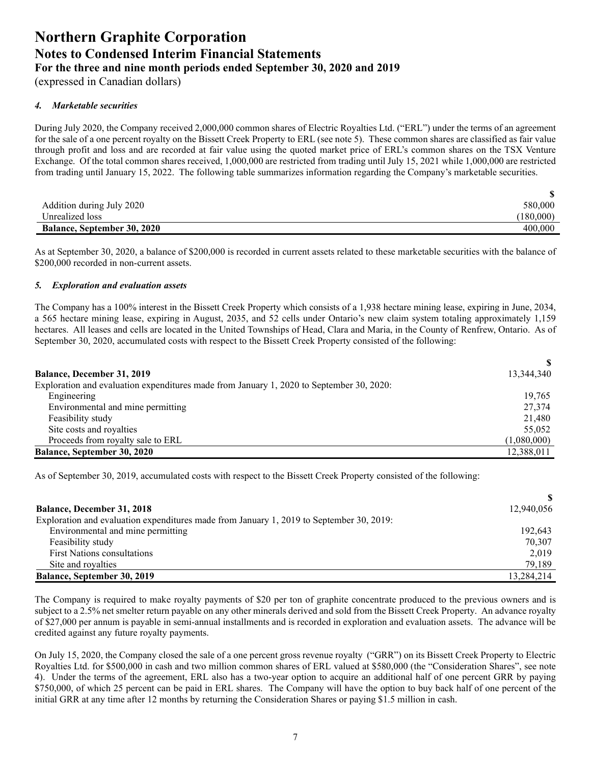(expressed in Canadian dollars)

#### *4. Marketable securities*

During July 2020, the Company received 2,000,000 common shares of Electric Royalties Ltd. ("ERL") under the terms of an agreement for the sale of a one percent royalty on the Bissett Creek Property to ERL (see note 5). These common shares are classified as fair value through profit and loss and are recorded at fair value using the quoted market price of ERL's common shares on the TSX Venture Exchange. Of the total common shares received, 1,000,000 are restricted from trading until July 15, 2021 while 1,000,000 are restricted from trading until January 15, 2022. The following table summarizes information regarding the Company's marketable securities.

| Addition during July 2020          | 580,000   |
|------------------------------------|-----------|
| Unrealized loss                    | (180,000) |
| <b>Balance, September 30, 2020</b> | 400,000   |

As at September 30, 2020, a balance of \$200,000 is recorded in current assets related to these marketable securities with the balance of \$200,000 recorded in non-current assets.

#### *5. Exploration and evaluation assets*

The Company has a 100% interest in the Bissett Creek Property which consists of a 1,938 hectare mining lease, expiring in June, 2034, a 565 hectare mining lease, expiring in August, 2035, and 52 cells under Ontario's new claim system totaling approximately 1,159 hectares. All leases and cells are located in the United Townships of Head, Clara and Maria, in the County of Renfrew, Ontario. As of September 30, 2020, accumulated costs with respect to the Bissett Creek Property consisted of the following:

| <b>Balance, December 31, 2019</b>                                                        | 13,344,340  |
|------------------------------------------------------------------------------------------|-------------|
| Exploration and evaluation expenditures made from January 1, 2020 to September 30, 2020: |             |
| Engineering                                                                              | 19,765      |
| Environmental and mine permitting                                                        | 27,374      |
| Feasibility study                                                                        | 21,480      |
| Site costs and royalties                                                                 | 55,052      |
| Proceeds from royalty sale to ERL                                                        | (1,080,000) |
| <b>Balance, September 30, 2020</b>                                                       | 12,388,011  |

As of September 30, 2019, accumulated costs with respect to the Bissett Creek Property consisted of the following:

| <b>Balance, December 31, 2018</b>                                                        | 12,940,056 |
|------------------------------------------------------------------------------------------|------------|
| Exploration and evaluation expenditures made from January 1, 2019 to September 30, 2019: |            |
| Environmental and mine permitting                                                        | 192.643    |
| Feasibility study                                                                        | 70,307     |
| <b>First Nations consultations</b>                                                       | 2,019      |
| Site and royalties                                                                       | 79,189     |
| <b>Balance, September 30, 2019</b>                                                       | 13.284.214 |

The Company is required to make royalty payments of \$20 per ton of graphite concentrate produced to the previous owners and is subject to a 2.5% net smelter return payable on any other minerals derived and sold from the Bissett Creek Property. An advance royalty of \$27,000 per annum is payable in semi-annual installments and is recorded in exploration and evaluation assets. The advance will be credited against any future royalty payments.

On July 15, 2020, the Company closed the sale of a one percent gross revenue royalty ("GRR") on its Bissett Creek Property to Electric Royalties Ltd. for \$500,000 in cash and two million common shares of ERL valued at \$580,000 (the "Consideration Shares", see note 4). Under the terms of the agreement, ERL also has a two-year option to acquire an additional half of one percent GRR by paying \$750,000, of which 25 percent can be paid in ERL shares. The Company will have the option to buy back half of one percent of the initial GRR at any time after 12 months by returning the Consideration Shares or paying \$1.5 million in cash.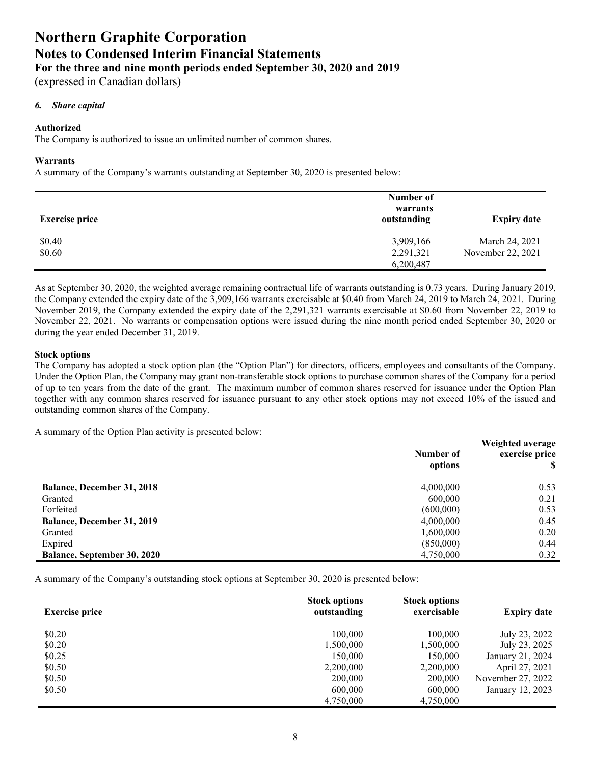(expressed in Canadian dollars)

#### *6. Share capital*

#### **Authorized**

The Company is authorized to issue an unlimited number of common shares.

#### **Warrants**

A summary of the Company's warrants outstanding at September 30, 2020 is presented below:

| <b>Exercise price</b> | Number of<br>warrants<br>outstanding | <b>Expiry date</b> |
|-----------------------|--------------------------------------|--------------------|
| \$0.40                | 3,909,166                            | March 24, 2021     |
| \$0.60                | 2,291,321<br>6,200,487               | November 22, 2021  |

As at September 30, 2020, the weighted average remaining contractual life of warrants outstanding is 0.73 years. During January 2019, the Company extended the expiry date of the 3,909,166 warrants exercisable at \$0.40 from March 24, 2019 to March 24, 2021. During November 2019, the Company extended the expiry date of the 2,291,321 warrants exercisable at \$0.60 from November 22, 2019 to November 22, 2021. No warrants or compensation options were issued during the nine month period ended September 30, 2020 or during the year ended December 31, 2019.

#### **Stock options**

The Company has adopted a stock option plan (the "Option Plan") for directors, officers, employees and consultants of the Company. Under the Option Plan, the Company may grant non-transferable stock options to purchase common shares of the Company for a period of up to ten years from the date of the grant. The maximum number of common shares reserved for issuance under the Option Plan together with any common shares reserved for issuance pursuant to any other stock options may not exceed 10% of the issued and outstanding common shares of the Company.

A summary of the Option Plan activity is presented below:

|                                    | Number of<br>options | Weighted average<br>exercise price |
|------------------------------------|----------------------|------------------------------------|
| <b>Balance, December 31, 2018</b>  | 4,000,000            | 0.53                               |
| Granted                            | 600,000              | 0.21                               |
| Forfeited                          | (600,000)            | 0.53                               |
| <b>Balance, December 31, 2019</b>  | 4,000,000            | 0.45                               |
| Granted                            | 1,600,000            | 0.20                               |
| Expired                            | (850,000)            | 0.44                               |
| <b>Balance, September 30, 2020</b> | 4,750,000            | 0.32                               |

A summary of the Company's outstanding stock options at September 30, 2020 is presented below:

| <b>Exercise price</b> | <b>Stock options</b><br>outstanding | <b>Stock options</b><br>exercisable | <b>Expiry date</b> |
|-----------------------|-------------------------------------|-------------------------------------|--------------------|
| \$0.20                | 100,000                             | 100,000                             | July 23, 2022      |
| \$0.20                | 1,500,000                           | 1,500,000                           | July 23, 2025      |
| \$0.25                | 150,000                             | 150,000                             | January 21, 2024   |
| \$0.50                | 2,200,000                           | 2,200,000                           | April 27, 2021     |
| \$0.50                | 200,000                             | 200,000                             | November 27, 2022  |
| \$0.50                | 600,000                             | 600,000                             | January 12, 2023   |
|                       | 4,750,000                           | 4,750,000                           |                    |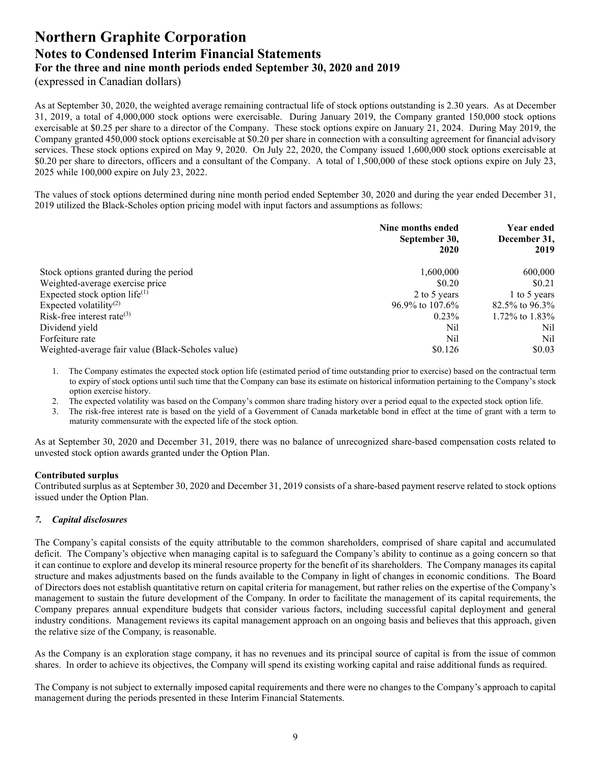(expressed in Canadian dollars)

As at September 30, 2020, the weighted average remaining contractual life of stock options outstanding is 2.30 years. As at December 31, 2019, a total of 4,000,000 stock options were exercisable. During January 2019, the Company granted 150,000 stock options exercisable at \$0.25 per share to a director of the Company. These stock options expire on January 21, 2024. During May 2019, the Company granted 450,000 stock options exercisable at \$0.20 per share in connection with a consulting agreement for financial advisory services. These stock options expired on May 9, 2020. On July 22, 2020, the Company issued 1,600,000 stock options exercisable at \$0.20 per share to directors, officers and a consultant of the Company. A total of 1,500,000 of these stock options expire on July 23, 2025 while 100,000 expire on July 23, 2022.

The values of stock options determined during nine month period ended September 30, 2020 and during the year ended December 31, 2019 utilized the Black-Scholes option pricing model with input factors and assumptions as follows:

|                                                   | Nine months ended<br>September 30,<br>2020 | <b>Year ended</b><br>December 31,<br>2019 |
|---------------------------------------------------|--------------------------------------------|-------------------------------------------|
| Stock options granted during the period           | 1,600,000                                  | 600,000                                   |
| Weighted-average exercise price                   | \$0.20                                     | \$0.21                                    |
| Expected stock option life $(1)$                  | 2 to 5 years                               | 1 to 5 years                              |
| Expected volatility <sup>(2)</sup>                | $96.9\%$ to $107.6\%$                      | 82.5% to 96.3%                            |
| Risk-free interest rate $(3)$                     | $0.23\%$                                   | 1.72\% to 1.83\%                          |
| Dividend yield                                    | Nil                                        | Nil                                       |
| Forfeiture rate                                   | Nil                                        | Nil                                       |
| Weighted-average fair value (Black-Scholes value) | \$0.126                                    | \$0.03                                    |

1. The Company estimates the expected stock option life (estimated period of time outstanding prior to exercise) based on the contractual term to expiry of stock options until such time that the Company can base its estimate on historical information pertaining to the Company's stock option exercise history.

2. The expected volatility was based on the Company's common share trading history over a period equal to the expected stock option life.

3. The risk-free interest rate is based on the yield of a Government of Canada marketable bond in effect at the time of grant with a term to maturity commensurate with the expected life of the stock option.

As at September 30, 2020 and December 31, 2019, there was no balance of unrecognized share-based compensation costs related to unvested stock option awards granted under the Option Plan.

#### **Contributed surplus**

Contributed surplus as at September 30, 2020 and December 31, 2019 consists of a share-based payment reserve related to stock options issued under the Option Plan.

#### *7. Capital disclosures*

The Company's capital consists of the equity attributable to the common shareholders, comprised of share capital and accumulated deficit. The Company's objective when managing capital is to safeguard the Company's ability to continue as a going concern so that it can continue to explore and develop its mineral resource property for the benefit of its shareholders. The Company manages its capital structure and makes adjustments based on the funds available to the Company in light of changes in economic conditions. The Board of Directors does not establish quantitative return on capital criteria for management, but rather relies on the expertise of the Company's management to sustain the future development of the Company. In order to facilitate the management of its capital requirements, the Company prepares annual expenditure budgets that consider various factors, including successful capital deployment and general industry conditions. Management reviews its capital management approach on an ongoing basis and believes that this approach, given the relative size of the Company, is reasonable.

As the Company is an exploration stage company, it has no revenues and its principal source of capital is from the issue of common shares. In order to achieve its objectives, the Company will spend its existing working capital and raise additional funds as required.

The Company is not subject to externally imposed capital requirements and there were no changes to the Company's approach to capital management during the periods presented in these Interim Financial Statements.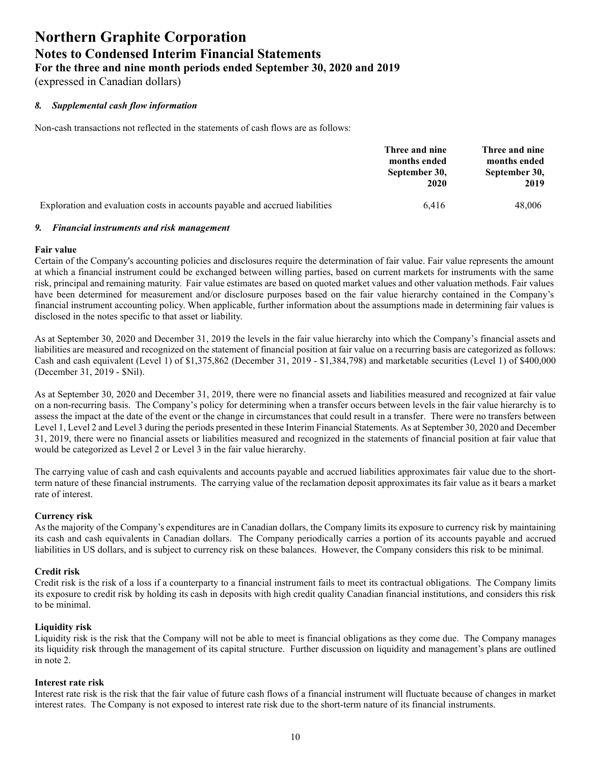(expressed in Canadian dollars)

#### *8. Supplemental cash flow information*

Non-cash transactions not reflected in the statements of cash flows are as follows:

|                                                                              | Three and nine<br>months ended<br>September 30,<br>2020 | Three and nine<br>months ended<br>September 30,<br>2019 |
|------------------------------------------------------------------------------|---------------------------------------------------------|---------------------------------------------------------|
|                                                                              |                                                         |                                                         |
| Exploration and evaluation costs in accounts payable and accrued liabilities | 6.416                                                   | 48,006                                                  |

#### *9. Financial instruments and risk management*

#### **Fair value**

Certain of the Company's accounting policies and disclosures require the determination of fair value. Fair value represents the amount at which a financial instrument could be exchanged between willing parties, based on current markets for instruments with the same risk, principal and remaining maturity. Fair value estimates are based on quoted market values and other valuation methods. Fair values have been determined for measurement and/or disclosure purposes based on the fair value hierarchy contained in the Company's financial instrument accounting policy. When applicable, further information about the assumptions made in determining fair values is disclosed in the notes specific to that asset or liability.

As at September 30, 2020 and December 31, 2019 the levels in the fair value hierarchy into which the Company's financial assets and liabilities are measured and recognized on the statement of financial position at fair value on a recurring basis are categorized as follows: Cash and cash equivalent (Level 1) of \$1,375,862 (December 31, 2019 - \$1,384,798) and marketable securities (Level 1) of \$400,000 (December 31, 2019 - \$Nil).

As at September 30, 2020 and December 31, 2019, there were no financial assets and liabilities measured and recognized at fair value on a non-recurring basis. The Company's policy for determining when a transfer occurs between levels in the fair value hierarchy is to assess the impact at the date of the event or the change in circumstances that could result in a transfer. There were no transfers between Level 1, Level 2 and Level 3 during the periods presented in these Interim Financial Statements. As at September 30, 2020 and December 31, 2019, there were no financial assets or liabilities measured and recognized in the statements of financial position at fair value that would be categorized as Level 2 or Level 3 in the fair value hierarchy.

The carrying value of cash and cash equivalents and accounts payable and accrued liabilities approximates fair value due to the shortterm nature of these financial instruments. The carrying value of the reclamation deposit approximates its fair value as it bears a market rate of interest.

#### **Currency risk**

As the majority of the Company's expenditures are in Canadian dollars, the Company limits its exposure to currency risk by maintaining its cash and cash equivalents in Canadian dollars. The Company periodically carries a portion of its accounts payable and accrued liabilities in US dollars, and is subject to currency risk on these balances. However, the Company considers this risk to be minimal.

#### **Credit risk**

Credit risk is the risk of a loss if a counterparty to a financial instrument fails to meet its contractual obligations. The Company limits its exposure to credit risk by holding its cash in deposits with high credit quality Canadian financial institutions, and considers this risk to be minimal.

#### **Liquidity risk**

Liquidity risk is the risk that the Company will not be able to meet is financial obligations as they come due. The Company manages its liquidity risk through the management of its capital structure. Further discussion on liquidity and management's plans are outlined in note 2.

#### **Interest rate risk**

Interest rate risk is the risk that the fair value of future cash flows of a financial instrument will fluctuate because of changes in market interest rates. The Company is not exposed to interest rate risk due to the short-term nature of its financial instruments.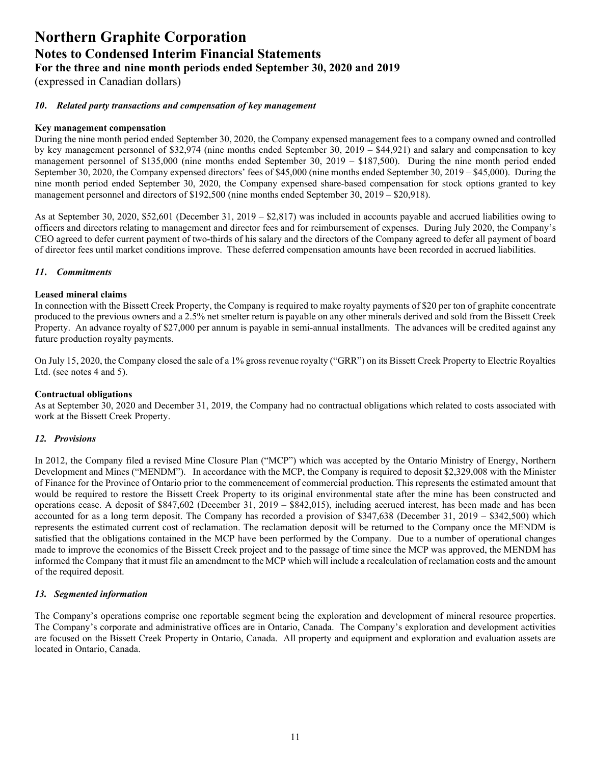(expressed in Canadian dollars)

#### *10***.** *Related party transactions and compensation of key management*

#### **Key management compensation**

During the nine month period ended September 30, 2020, the Company expensed management fees to a company owned and controlled by key management personnel of \$32,974 (nine months ended September 30, 2019 – \$44,921) and salary and compensation to key management personnel of \$135,000 (nine months ended September 30, 2019 – \$187,500). During the nine month period ended September 30, 2020, the Company expensed directors' fees of \$45,000 (nine months ended September 30, 2019 – \$45,000). During the nine month period ended September 30, 2020, the Company expensed share-based compensation for stock options granted to key management personnel and directors of \$192,500 (nine months ended September 30, 2019 – \$20,918).

As at September 30, 2020, \$52,601 (December 31, 2019 – \$2,817) was included in accounts payable and accrued liabilities owing to officers and directors relating to management and director fees and for reimbursement of expenses. During July 2020, the Company's CEO agreed to defer current payment of two-thirds of his salary and the directors of the Company agreed to defer all payment of board of director fees until market conditions improve. These deferred compensation amounts have been recorded in accrued liabilities.

#### *11***.** *Commitments*

#### **Leased mineral claims**

In connection with the Bissett Creek Property, the Company is required to make royalty payments of \$20 per ton of graphite concentrate produced to the previous owners and a 2.5% net smelter return is payable on any other minerals derived and sold from the Bissett Creek Property. An advance royalty of \$27,000 per annum is payable in semi-annual installments. The advances will be credited against any future production royalty payments.

On July 15, 2020, the Company closed the sale of a 1% gross revenue royalty ("GRR") on its Bissett Creek Property to Electric Royalties Ltd. (see notes 4 and 5).

#### **Contractual obligations**

As at September 30, 2020 and December 31, 2019, the Company had no contractual obligations which related to costs associated with work at the Bissett Creek Property.

#### *12. Provisions*

In 2012, the Company filed a revised Mine Closure Plan ("MCP") which was accepted by the Ontario Ministry of Energy, Northern Development and Mines ("MENDM"). In accordance with the MCP, the Company is required to deposit \$2,329,008 with the Minister of Finance for the Province of Ontario prior to the commencement of commercial production. This represents the estimated amount that would be required to restore the Bissett Creek Property to its original environmental state after the mine has been constructed and operations cease. A deposit of \$847,602 (December 31, 2019 – \$842,015), including accrued interest, has been made and has been accounted for as a long term deposit. The Company has recorded a provision of \$347,638 (December 31, 2019 – \$342,500) which represents the estimated current cost of reclamation. The reclamation deposit will be returned to the Company once the MENDM is satisfied that the obligations contained in the MCP have been performed by the Company. Due to a number of operational changes made to improve the economics of the Bissett Creek project and to the passage of time since the MCP was approved, the MENDM has informed the Company that it must file an amendment to the MCP which will include a recalculation of reclamation costs and the amount of the required deposit.

#### *13. Segmented information*

The Company's operations comprise one reportable segment being the exploration and development of mineral resource properties. The Company's corporate and administrative offices are in Ontario, Canada. The Company's exploration and development activities are focused on the Bissett Creek Property in Ontario, Canada. All property and equipment and exploration and evaluation assets are located in Ontario, Canada.